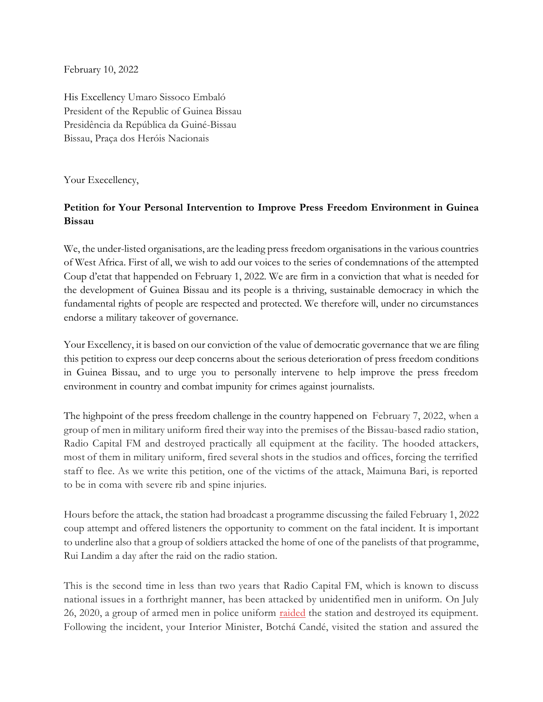February 10, 2022

His Excellency Umaro Sissoco Embaló President of the Republic of Guinea Bissau Presidência da República da Guiné-Bissau Bissau, Praça dos Heróis Nacionais

Your Execellency,

## **Petition for Your Personal Intervention to Improve Press Freedom Environment in Guinea Bissau**

We, the under-listed organisations, are the leading press freedom organisations in the various countries of West Africa. First of all, we wish to add our voices to the series of condemnations of the attempted Coup d'etat that happended on February 1, 2022. We are firm in a conviction that what is needed for the development of Guinea Bissau and its people is a thriving, sustainable democracy in which the fundamental rights of people are respected and protected. We therefore will, under no circumstances endorse a military takeover of governance.

Your Excellency, it is based on our conviction of the value of democratic governance that we are filing this petition to express our deep concerns about the serious deterioration of press freedom conditions in Guinea Bissau, and to urge you to personally intervene to help improve the press freedom environment in country and combat impunity for crimes against journalists.

The highpoint of the press freedom challenge in the country happened on February 7, 2022, when a group of men in military uniform fired their way into the premises of the Bissau-based radio station, Radio Capital FM and destroyed practically all equipment at the facility. The hooded attackers, most of them in military uniform, fired several shots in the studios and offices, forcing the terrified staff to flee. As we write this petition, one of the victims of the attack, Maimuna Bari, is reported to be in coma with severe rib and spine injuries.

Hours before the attack, the station had broadcast a programme discussing the failed February 1, 2022 coup attempt and offered listeners the opportunity to comment on the fatal incident. It is important to underline also that a group of soldiers attacked the home of one of the panelists of that programme, Rui Landim a day after the raid on the radio station.

This is the second time in less than two years that Radio Capital FM, which is known to discuss national issues in a forthright manner, has been attacked by unidentified men in uniform. On July 26, 2020, a group of armed men in police uniform [raided](https://www.mfwa.org/uniformed-men-carry-out-dawn-raid-on-radio-station-destroy-equipment/) the station and destroyed its equipment. Following the incident, your Interior Minister, Botchá Candé, visited the station and assured the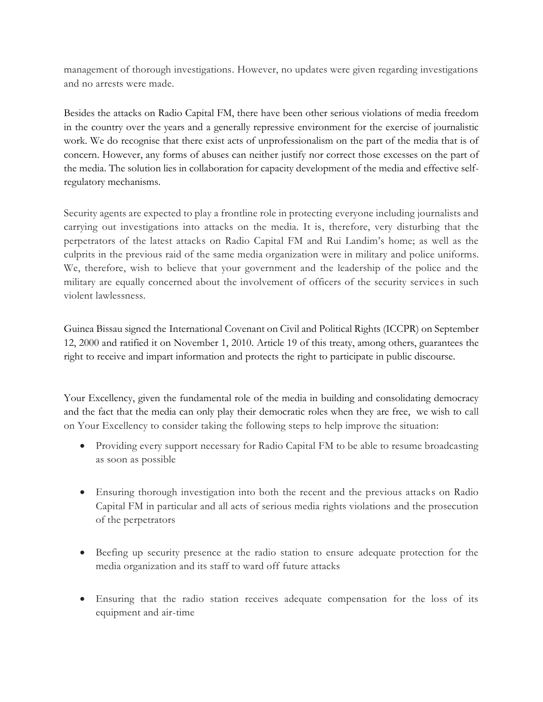management of thorough investigations. However, no updates were given regarding investigations and no arrests were made.

Besides the attacks on Radio Capital FM, there have been other serious violations of media freedom in the country over the years and a generally repressive environment for the exercise of journalistic work. We do recognise that there exist acts of unprofessionalism on the part of the media that is of concern. However, any forms of abuses can neither justify nor correct those excesses on the part of the media. The solution lies in collaboration for capacity development of the media and effective selfregulatory mechanisms.

Security agents are expected to play a frontline role in protecting everyone including journalists and carrying out investigations into attacks on the media. It is, therefore, very disturbing that the perpetrators of the latest attacks on Radio Capital FM and Rui Landim's home; as well as the culprits in the previous raid of the same media organization were in military and police uniforms. We, therefore, wish to believe that your government and the leadership of the police and the military are equally concerned about the involvement of officers of the security services in such violent lawlessness.

Guinea Bissau signed the International Covenant on Civil and Political Rights (ICCPR) on September 12, 2000 and ratified it on November 1, 2010. Article 19 of this treaty, among others, guarantees the right to receive and impart information and protects the right to participate in public discourse.

Your Excellency, given the fundamental role of the media in building and consolidating democracy and the fact that the media can only play their democratic roles when they are free, we wish to call on Your Excellency to consider taking the following steps to help improve the situation:

- Providing every support necessary for Radio Capital FM to be able to resume broadcasting as soon as possible
- Ensuring thorough investigation into both the recent and the previous attacks on Radio Capital FM in particular and all acts of serious media rights violations and the prosecution of the perpetrators
- Beefing up security presence at the radio station to ensure adequate protection for the media organization and its staff to ward off future attacks
- Ensuring that the radio station receives adequate compensation for the loss of its equipment and air-time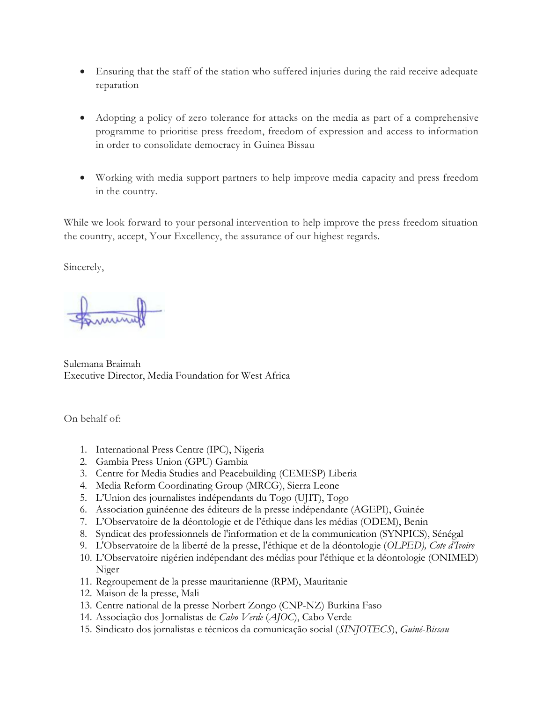- Ensuring that the staff of the station who suffered injuries during the raid receive adequate reparation
- Adopting a policy of zero tolerance for attacks on the media as part of a comprehensive programme to prioritise press freedom, freedom of expression and access to information in order to consolidate democracy in Guinea Bissau
- Working with media support partners to help improve media capacity and press freedom in the country.

While we look forward to your personal intervention to help improve the press freedom situation the country, accept, Your Excellency, the assurance of our highest regards.

Sincerely,

Sulemana Braimah Executive Director, Media Foundation for West Africa

On behalf of:

- 1. International Press Centre (IPC), Nigeria
- 2. Gambia Press Union (GPU) Gambia
- 3. Centre for Media Studies and Peacebuilding (CEMESP) Liberia
- 4. Media Reform Coordinating Group (MRCG), Sierra Leone
- 5. L'Union des journalistes indépendants du Togo (UJIT), Togo
- 6. Association guinéenne des éditeurs de la presse indépendante (AGEPI), Guinée
- 7. L'Observatoire de la déontologie et de l'éthique dans les médias (ODEM), Benin
- 8. Syndicat des professionnels de l'information et de la communication (SYNPICS), Sénégal
- 9. L'Observatoire de la liberté de la presse, l'éthique et de la déontologie (*OLPED), Cote d'Ivoire*
- 10. L'Observatoire nigérien indépendant des médias pour l'éthique et la déontologie (ONIMED) Niger
- 11. Regroupement de la presse mauritanienne (RPM), Mauritanie
- 12. Maison de la presse, Mali
- 13. Centre national de la presse Norbert Zongo (CNP-NZ) Burkina Faso
- 14. Associação dos Jornalistas de *Cabo Verde* (*AJOC*), Cabo Verde
- 15. Sindicato dos jornalistas e técnicos da comunicação social (*SINJOTECS*), *Guiné*-*Bissau*